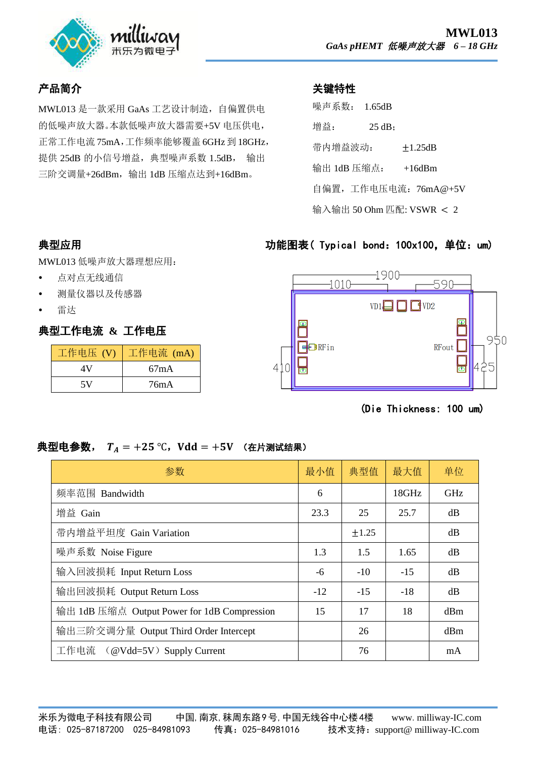

## 产品简介

MWL013 是一款采用 GaAs 工艺设计制造,自偏置供电 的低噪声放大器。本款低噪声放大器需要+5V 电压供电, 正常工作电流 75mA,工作频率能够覆盖 6GHz 到 18GHz, 提供 25dB 的小信号增益, 典型噪声系数 1.5dB, 输出 三阶交调量+26dBm,输出 1dB 压缩点达到+16dBm。

#### 关键特性

| 噪声系数:                    | 1.65dB |                      |  |  |  |
|--------------------------|--------|----------------------|--|--|--|
| 增益:                      | 25 dB: |                      |  |  |  |
| 带内增益波动:                  |        | $+1.25dB$            |  |  |  |
| 输出 1dB 压缩点:              |        | $+16$ d $Bm$         |  |  |  |
|                          |        | 自偏置,工作电压电流: 76mA@+5V |  |  |  |
| 输入输出 50 Ohm 匹配: VSWR < 2 |        |                      |  |  |  |

#### 功能图表( Typical bond: 100x100, 单位: um)



(Die Thickness: 100 um)

# 典型应用

MWL013 低噪声放大器理想应用:

- 点对点无线通信
- 测量仪器以及传感器
- 雷达

# 典型工作电流 **&** 工作电压

| 工作电压 (V) | 工作电流 (mA) |  |  |
|----------|-----------|--|--|
| ΔV       | 67mA      |  |  |
| 5V       | 76mA      |  |  |

### 典型电参数,  $T_A = +25$  °C, Vdd = +5V (在片测试结果)

| 参数                                          | 最小值   | 典型值   | 最大值   | 单位         |
|---------------------------------------------|-------|-------|-------|------------|
| 频率范围 Bandwidth                              | 6     |       | 18GHz | <b>GHz</b> |
| 增益 Gain                                     | 23.3  | 25    | 25.7  | dB         |
| 带内增益平坦度 Gain Variation                      |       | ±1.25 |       | dB         |
| 噪声系数 Noise Figure                           | 1.3   | 1.5   | 1.65  | dB         |
| 输入回波损耗 Input Return Loss                    | -6    | $-10$ | $-15$ | dB         |
| 输出回波损耗 Output Return Loss                   | $-12$ | $-15$ | $-18$ | dB         |
| 输出 1dB 压缩点 Output Power for 1dB Compression | 15    | 17    | 18    | dBm        |
| 输出三阶交调分量 Output Third Order Intercept       |       | 26    |       | dBm        |
| 工作电流 (@Vdd=5V) Supply Current               |       | 76    |       | mA         |